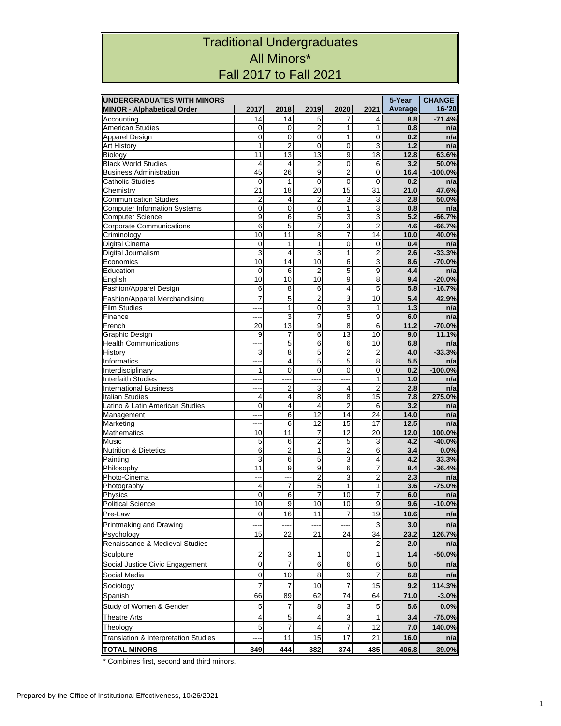## Traditional Undergraduates All Minors\* Fall 2017 to Fall 2021

| <b>UNDERGRADUATES WITH MINORS</b>                   | 5-Year                  | <b>CHANGE</b>    |                  |                  |                         |                |                      |
|-----------------------------------------------------|-------------------------|------------------|------------------|------------------|-------------------------|----------------|----------------------|
| <b>MINOR - Alphabetical Order</b>                   | 2017                    | 2018             | 2019             | 2020             | 2021                    | <b>Average</b> | 16-'20               |
| Accounting                                          | 14                      | 14               | 5                | 7                | 4                       | 8.8            | $-71.4%$             |
| <b>American Studies</b>                             | 0                       | 0                | $\overline{2}$   | 1                | 1                       | 0.8            | n/a                  |
| Apparel Design                                      | 0                       | $\mathbf 0$      | $\mathbf 0$      | 1                | 0                       | 0.2            | n/a                  |
| <b>Art History</b>                                  | 1                       | $\overline{2}$   | $\mathbf 0$      | $\mathbf 0$      | 3                       | 1.2            | n/a                  |
| <b>Biology</b>                                      | 11                      | 13               | 13               | 9                | 18                      | 12.8           | 63.6%                |
| <b>Black World Studies</b>                          | 4                       | 4                | $\overline{2}$   | 0                | 6                       | 3.2            | 50.0%                |
| <b>Business Administration</b>                      | 45                      | 26               | 9                | $\overline{2}$   | $\overline{0}$          | 16.4           | $-100.0%$            |
| <b>Catholic Studies</b>                             | 0                       | 1                | $\mathbf 0$      | $\mathbf 0$      | $\mathbf 0$             | 0.2            | n/a                  |
| Chemistry                                           | 21                      | 18               | 20               | 15               | 31                      | 21.0           | 47.6%                |
| <b>Communication Studies</b>                        | $\overline{c}$          | 4                | $\overline{2}$   | 3                | 3                       | 2.8            | 50.0%                |
| <b>Computer Information Systems</b>                 | $\mathbf 0$<br>9        | $\mathbf 0$<br>6 | $\mathbf 0$<br>5 | 1                | 3                       | 0.8<br>5.2     | n/a                  |
| <b>Computer Science</b><br>Corporate Communications | 6                       | $\overline{5}$   | $\overline{7}$   | 3<br>3           | 3<br>$\overline{2}$     | 4.6            | $-66.7%$<br>$-66.7%$ |
| Criminology                                         | 10                      | 11               | 8                | 7                | 14                      | 10.0           | 40.0%                |
| Digital Cinema                                      | 0                       | 1                | 1                | 0                | $\mathbf 0$             | 0.4            | n/a                  |
| Digital Journalism                                  | 3                       | 4                | 3                | 1                | 2                       | 2.6            | $-33.3%$             |
| Economics                                           | 10                      | 14               | 10               | 6                | 3                       | 8.6            | $-70.0%$             |
| Education                                           | 0                       | 6                | $\overline{2}$   | 5                | 9                       | 4.4            | n/a                  |
| English                                             | 10                      | 10               | 10               | $\overline{9}$   | 8                       | 9.4            | $-20.0%$             |
| Fashion/Apparel Design                              | 6                       | 8                | 6                | 4                | 5                       | 5.8            | $-16.7%$             |
| <b>Fashion/Apparel Merchandising</b>                | $\overline{7}$          | 5                | $\overline{2}$   | 3                | 10                      | 5.4            | 42.9%                |
| <b>Film Studies</b>                                 |                         | 1                | $\mathbf 0$      | $\overline{3}$   | 1                       | 1.3            | n/a                  |
| Finance                                             | ----                    | 3                | $\overline{7}$   | 5                | 9                       | 6.0            | n/a                  |
| French                                              | 20                      | 13               | 9                | 8                | 6                       | 11.2           | $-70.0%$             |
| Graphic Design                                      | 9                       | 7                | $\overline{6}$   | 13               | 10                      | 9.0            | 11.1%                |
| <b>Health Communications</b>                        | ---                     | 5                | 6                | 6                | 10                      | 6.8            | n/a                  |
| History                                             | 3                       | 8                | 5                | 2                | $\overline{c}$          | 4.0            | $-33.3%$             |
| Informatics                                         | ---                     | 4                | 5                | 5                | 8                       | 5.5            | n/a                  |
| Interdisciplinary                                   | 1                       | 0                | 0                | 0                | $\mathbf 0$             | 0.2            | $-100.0%$            |
| <b>Interfaith Studies</b>                           | ---                     |                  | ----             |                  | 1                       | 1.0            | n/a                  |
| <b>International Business</b>                       | ----                    | $\overline{2}$   | $\overline{3}$   | 4                | $\overline{2}$          | 2.8            | n/a                  |
| <b>Italian Studies</b>                              | $\overline{4}$          | 4                | 8                | 8                | 15                      | 7.8            | 275.0%               |
| Latino & Latin American Studies                     | $\mathbf 0$             | 4                | $\overline{4}$   | $\overline{2}$   | 6                       | 3.2            | n/a                  |
| Management                                          | ----                    | 6                | 12               | 14               | 24                      | 14.0           | n/a                  |
| Marketing                                           | ---                     | 6                | $\overline{12}$  | 15               | 17                      | 12.5           | n/a                  |
| <b>Mathematics</b>                                  | 10                      | 11               | 7                | 12               | 20                      | 12.0           | 100.0%               |
| Music                                               | 5                       | 6                | $\overline{c}$   | 5                | 3                       | 4.2            | $-40.0%$             |
| <b>Nutrition &amp; Dietetics</b>                    | 6                       | $\overline{2}$   | 1                | $\overline{2}$   | 6                       | 3.4            | 0.0%                 |
| Painting                                            | 3                       | $\overline{6}$   | $\overline{5}$   | $\overline{3}$   | $\overline{\mathbf{4}}$ | 4.2            | 33.3%                |
| Philosophy                                          | 11                      | 9                | 9                | 6                | 7                       | 8.4            | $-36.4%$             |
| Photo-Cinema                                        |                         | Ξ.               | $\overline{2}$   | 3                | $\overline{c}$          | 2.3            | n/a                  |
| Photography                                         | 4                       | 7                | 5                | 1                | 1                       | 3.6            | $-75.0%$             |
| Physics                                             | 0                       | 6                | $\overline{7}$   | 10               | 7                       | 6.0            | n/a                  |
| <b>Political Science</b>                            | 10                      | 9                | 10               | 10 <sup>1</sup>  | <b>a</b>                | 9.6            | $-10.0%$             |
| Pre-Law                                             | 0                       | 16               | 11               | 7                | 19                      | 10.6           | n/a                  |
| Printmaking and Drawing                             |                         |                  |                  | ---              | 3                       | 3.0            | n/a                  |
| Psychology                                          | 15                      | 22               | 21               | 24               | 34                      | 23.2           | 126.7%               |
| Renaissance & Medieval Studies                      |                         |                  |                  |                  | $\overline{a}$          | 2.0            | n/a                  |
| Sculpture                                           | $\overline{\mathbf{c}}$ | 3                | 1                | $\boldsymbol{0}$ | $\mathbf{1}$            | 1.4            | $-50.0%$             |
| Social Justice Civic Engagement                     | 0                       | 7                | 6                | 6                | 6                       | 5.0            | n/a                  |
| Social Media                                        | 0                       | 10               | 8                | 9                | $\overline{7}$          | 6.8            | n/a                  |
| Sociology                                           | 7                       | 7                | 10               | 7                | 15                      | 9.2            | 114.3%               |
|                                                     | 66                      |                  | 62               | 74               | 64                      |                |                      |
| Spanish<br>Study of Women & Gender                  | 5                       | 89<br>7          | 8                | 3                | 5                       | 71.0<br>5.6    | $-3.0%$<br>0.0%      |
|                                                     |                         |                  |                  |                  |                         |                |                      |
| <b>Theatre Arts</b>                                 | 4                       | 5                | 4                | 3                | 1                       | 3.4            | $-75.0%$             |
| Theology                                            | 5                       | $\overline{7}$   | 4                | $\overline{7}$   | 12                      | 7.0            | 140.0%               |
| Translation & Interpretation Studies                |                         | 11               | 15               | 17               | 21                      | 16.0           | n/a                  |
| <b>TOTAL MINORS</b>                                 | 349                     | 444              | 382              | 374              | 485                     | 406.8          | 39.0%                |

\* Combines first, second and third minors.